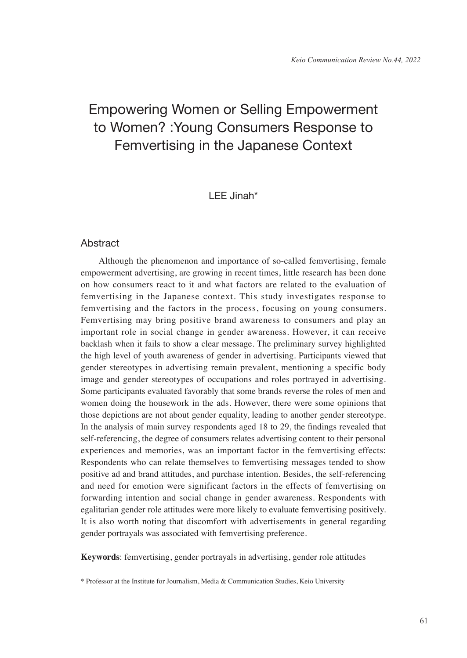# Empowering Women or Selling Empowerment to Women? :Young Consumers Response to Femvertising in the Japanese Context

# LEE Jinah\*

# **Abstract**

Although the phenomenon and importance of so-called femvertising, female empowerment advertising, are growing in recent times, little research has been done on how consumers react to it and what factors are related to the evaluation of femvertising in the Japanese context. This study investigates response to femvertising and the factors in the process, focusing on young consumers. Femvertising may bring positive brand awareness to consumers and play an important role in social change in gender awareness. However, it can receive backlash when it fails to show a clear message. The preliminary survey highlighted the high level of youth awareness of gender in advertising. Participants viewed that gender stereotypes in advertising remain prevalent, mentioning a specific body image and gender stereotypes of occupations and roles portrayed in advertising. Some participants evaluated favorably that some brands reverse the roles of men and women doing the housework in the ads. However, there were some opinions that those depictions are not about gender equality, leading to another gender stereotype. In the analysis of main survey respondents aged 18 to 29, the findings revealed that self-referencing, the degree of consumers relates advertising content to their personal experiences and memories, was an important factor in the femvertising effects: Respondents who can relate themselves to femvertising messages tended to show positive ad and brand attitudes, and purchase intention. Besides, the self-referencing and need for emotion were significant factors in the effects of femvertising on forwarding intention and social change in gender awareness. Respondents with egalitarian gender role attitudes were more likely to evaluate femvertising positively. It is also worth noting that discomfort with advertisements in general regarding gender portrayals was associated with femvertising preference.

**Keywords**: femvertising, gender portrayals in advertising, gender role attitudes

\* Professor at the Institute for Journalism, Media & Communication Studies, Keio University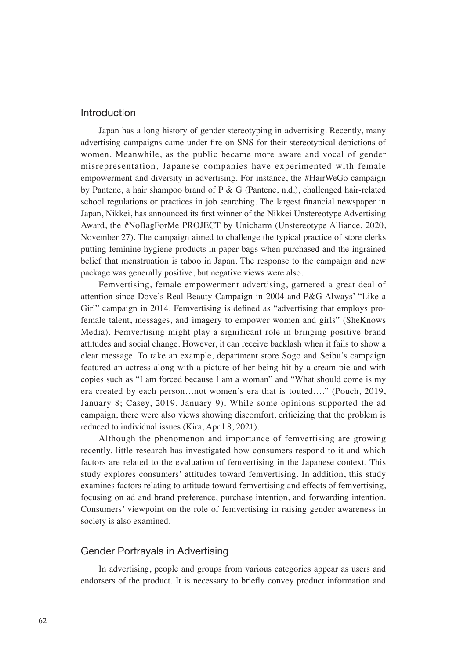# Introduction

Japan has a long history of gender stereotyping in advertising. Recently, many advertising campaigns came under fire on SNS for their stereotypical depictions of women. Meanwhile, as the public became more aware and vocal of gender misrepresentation, Japanese companies have experimented with female empowerment and diversity in advertising. For instance, the #HairWeGo campaign by Pantene, a hair shampoo brand of P & G (Pantene, n.d.), challenged hair-related school regulations or practices in job searching. The largest financial newspaper in Japan, Nikkei, has announced its first winner of the Nikkei Unstereotype Advertising Award, the #NoBagForMe PROJECT by Unicharm (Unstereotype Alliance, 2020, November 27). The campaign aimed to challenge the typical practice of store clerks putting feminine hygiene products in paper bags when purchased and the ingrained belief that menstruation is taboo in Japan. The response to the campaign and new package was generally positive, but negative views were also.

Femvertising, female empowerment advertising, garnered a great deal of attention since Dove's Real Beauty Campaign in 2004 and P&G Always' "Like a Girl" campaign in 2014. Femvertising is defined as "advertising that employs profemale talent, messages, and imagery to empower women and girls" (SheKnows Media). Femvertising might play a significant role in bringing positive brand attitudes and social change. However, it can receive backlash when it fails to show a clear message. To take an example, department store Sogo and Seibu's campaign featured an actress along with a picture of her being hit by a cream pie and with copies such as "I am forced because I am a woman" and "What should come is my era created by each person…not women's era that is touted…." (Pouch, 2019, January 8; Casey, 2019, January 9). While some opinions supported the ad campaign, there were also views showing discomfort, criticizing that the problem is reduced to individual issues (Kira, April 8, 2021).

Although the phenomenon and importance of femvertising are growing recently, little research has investigated how consumers respond to it and which factors are related to the evaluation of femvertising in the Japanese context. This study explores consumers' attitudes toward femvertising. In addition, this study examines factors relating to attitude toward femvertising and effects of femvertising, focusing on ad and brand preference, purchase intention, and forwarding intention. Consumers' viewpoint on the role of femvertising in raising gender awareness in society is also examined.

# Gender Portrayals in Advertising

In advertising, people and groups from various categories appear as users and endorsers of the product. It is necessary to briefly convey product information and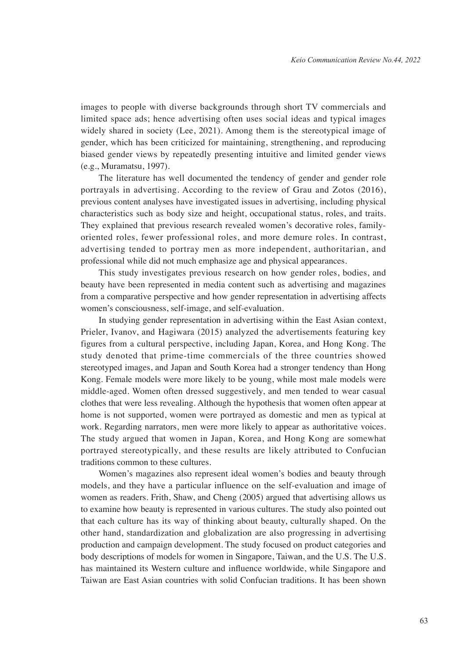images to people with diverse backgrounds through short TV commercials and limited space ads; hence advertising often uses social ideas and typical images widely shared in society (Lee, 2021). Among them is the stereotypical image of gender, which has been criticized for maintaining, strengthening, and reproducing biased gender views by repeatedly presenting intuitive and limited gender views (e.g., Muramatsu, 1997).

The literature has well documented the tendency of gender and gender role portrayals in advertising. According to the review of Grau and Zotos (2016), previous content analyses have investigated issues in advertising, including physical characteristics such as body size and height, occupational status, roles, and traits. They explained that previous research revealed women's decorative roles, familyoriented roles, fewer professional roles, and more demure roles. In contrast, advertising tended to portray men as more independent, authoritarian, and professional while did not much emphasize age and physical appearances.

This study investigates previous research on how gender roles, bodies, and beauty have been represented in media content such as advertising and magazines from a comparative perspective and how gender representation in advertising affects women's consciousness, self-image, and self-evaluation.

In studying gender representation in advertising within the East Asian context, Prieler, Ivanov, and Hagiwara (2015) analyzed the advertisements featuring key figures from a cultural perspective, including Japan, Korea, and Hong Kong. The study denoted that prime-time commercials of the three countries showed stereotyped images, and Japan and South Korea had a stronger tendency than Hong Kong. Female models were more likely to be young, while most male models were middle-aged. Women often dressed suggestively, and men tended to wear casual clothes that were less revealing. Although the hypothesis that women often appear at home is not supported, women were portrayed as domestic and men as typical at work. Regarding narrators, men were more likely to appear as authoritative voices. The study argued that women in Japan, Korea, and Hong Kong are somewhat portrayed stereotypically, and these results are likely attributed to Confucian traditions common to these cultures.

Women's magazines also represent ideal women's bodies and beauty through models, and they have a particular influence on the self-evaluation and image of women as readers. Frith, Shaw, and Cheng (2005) argued that advertising allows us to examine how beauty is represented in various cultures. The study also pointed out that each culture has its way of thinking about beauty, culturally shaped. On the other hand, standardization and globalization are also progressing in advertising production and campaign development. The study focused on product categories and body descriptions of models for women in Singapore, Taiwan, and the U.S. The U.S. has maintained its Western culture and influence worldwide, while Singapore and Taiwan are East Asian countries with solid Confucian traditions. It has been shown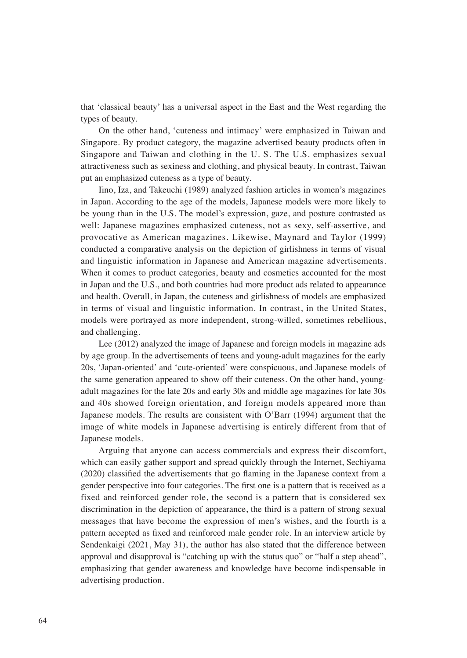that 'classical beauty' has a universal aspect in the East and the West regarding the types of beauty.

On the other hand, 'cuteness and intimacy' were emphasized in Taiwan and Singapore. By product category, the magazine advertised beauty products often in Singapore and Taiwan and clothing in the U. S. The U.S. emphasizes sexual attractiveness such as sexiness and clothing, and physical beauty. In contrast, Taiwan put an emphasized cuteness as a type of beauty.

Iino, Iza, and Takeuchi (1989) analyzed fashion articles in women's magazines in Japan. According to the age of the models, Japanese models were more likely to be young than in the U.S. The model's expression, gaze, and posture contrasted as well: Japanese magazines emphasized cuteness, not as sexy, self-assertive, and provocative as American magazines. Likewise, Maynard and Taylor (1999) conducted a comparative analysis on the depiction of girlishness in terms of visual and linguistic information in Japanese and American magazine advertisements. When it comes to product categories, beauty and cosmetics accounted for the most in Japan and the U.S., and both countries had more product ads related to appearance and health. Overall, in Japan, the cuteness and girlishness of models are emphasized in terms of visual and linguistic information. In contrast, in the United States, models were portrayed as more independent, strong-willed, sometimes rebellious, and challenging.

Lee (2012) analyzed the image of Japanese and foreign models in magazine ads by age group. In the advertisements of teens and young-adult magazines for the early 20s, 'Japan-oriented' and 'cute-oriented' were conspicuous, and Japanese models of the same generation appeared to show off their cuteness. On the other hand, youngadult magazines for the late 20s and early 30s and middle age magazines for late 30s and 40s showed foreign orientation, and foreign models appeared more than Japanese models. The results are consistent with O'Barr (1994) argument that the image of white models in Japanese advertising is entirely different from that of Japanese models.

Arguing that anyone can access commercials and express their discomfort, which can easily gather support and spread quickly through the Internet, Sechiyama (2020) classified the advertisements that go flaming in the Japanese context from a gender perspective into four categories. The first one is a pattern that is received as a fixed and reinforced gender role, the second is a pattern that is considered sex discrimination in the depiction of appearance, the third is a pattern of strong sexual messages that have become the expression of men's wishes, and the fourth is a pattern accepted as fixed and reinforced male gender role. In an interview article by Sendenkaigi (2021, May 31), the author has also stated that the difference between approval and disapproval is "catching up with the status quo" or "half a step ahead", emphasizing that gender awareness and knowledge have become indispensable in advertising production.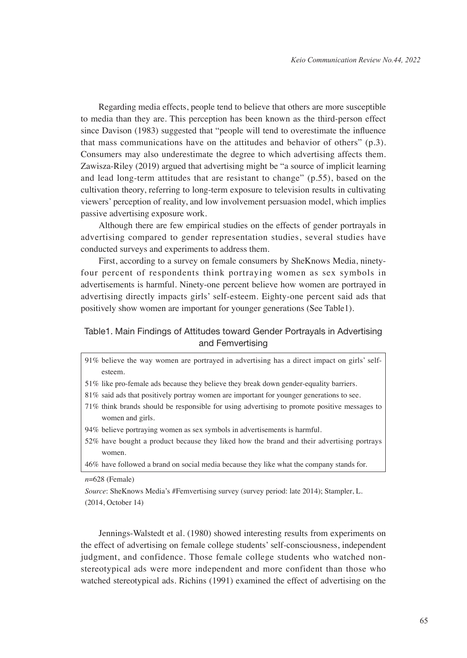Regarding media effects, people tend to believe that others are more susceptible to media than they are. This perception has been known as the third-person effect since Davison (1983) suggested that "people will tend to overestimate the influence that mass communications have on the attitudes and behavior of others" (p.3). Consumers may also underestimate the degree to which advertising affects them. Zawisza-Riley (2019) argued that advertising might be "a source of implicit learning and lead long-term attitudes that are resistant to change" (p.55), based on the cultivation theory, referring to long-term exposure to television results in cultivating viewers' perception of reality, and low involvement persuasion model, which implies passive advertising exposure work.

Although there are few empirical studies on the effects of gender portrayals in advertising compared to gender representation studies, several studies have conducted surveys and experiments to address them.

First, according to a survey on female consumers by SheKnows Media, ninetyfour percent of respondents think portraying women as sex symbols in advertisements is harmful. Ninety-one percent believe how women are portrayed in advertising directly impacts girls' self-esteem. Eighty-one percent said ads that positively show women are important for younger generations (See Table1).

# Table1. Main Findings of Attitudes toward Gender Portrayals in Advertising and Femvertising

- 91% believe the way women are portrayed in advertising has a direct impact on girls' selfesteem.
- 51% like pro-female ads because they believe they break down gender-equality barriers.
- 81% said ads that positively portray women are important for younger generations to see.
- 71% think brands should be responsible for using advertising to promote positive messages to women and girls.
- 94% believe portraying women as sex symbols in advertisements is harmful.
- 52% have bought a product because they liked how the brand and their advertising portrays women.
- 46% have followed a brand on social media because they like what the company stands for.

Jennings-Walstedt et al. (1980) showed interesting results from experiments on the effect of advertising on female college students' self-consciousness, independent judgment, and confidence. Those female college students who watched nonstereotypical ads were more independent and more confident than those who watched stereotypical ads. Richins (1991) examined the effect of advertising on the

*n*=628 (Female)

*Source*: SheKnows Media's #Femvertising survey (survey period: late 2014); Stampler, L. (2014, October 14)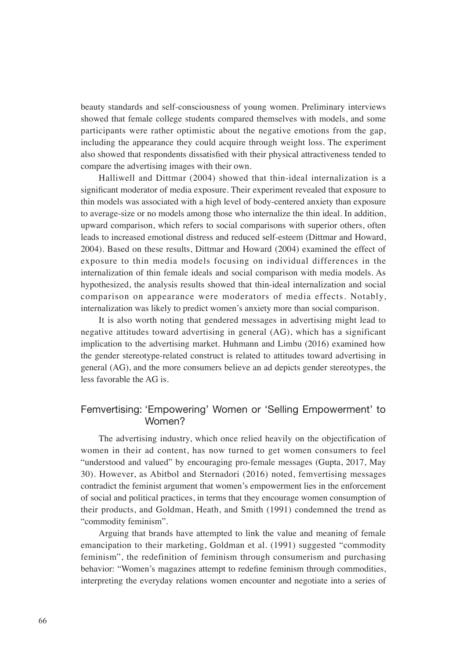beauty standards and self-consciousness of young women. Preliminary interviews showed that female college students compared themselves with models, and some participants were rather optimistic about the negative emotions from the gap, including the appearance they could acquire through weight loss. The experiment also showed that respondents dissatisfied with their physical attractiveness tended to compare the advertising images with their own.

Halliwell and Dittmar (2004) showed that thin-ideal internalization is a significant moderator of media exposure. Their experiment revealed that exposure to thin models was associated with a high level of body-centered anxiety than exposure to average-size or no models among those who internalize the thin ideal. In addition, upward comparison, which refers to social comparisons with superior others, often leads to increased emotional distress and reduced self-esteem (Dittmar and Howard, 2004). Based on these results, Dittmar and Howard (2004) examined the effect of exposure to thin media models focusing on individual differences in the internalization of thin female ideals and social comparison with media models. As hypothesized, the analysis results showed that thin-ideal internalization and social comparison on appearance were moderators of media effects. Notably, internalization was likely to predict women's anxiety more than social comparison.

It is also worth noting that gendered messages in advertising might lead to negative attitudes toward advertising in general (AG), which has a significant implication to the advertising market. Huhmann and Limbu (2016) examined how the gender stereotype-related construct is related to attitudes toward advertising in general (AG), and the more consumers believe an ad depicts gender stereotypes, the less favorable the AG is.

# Femvertising: 'Empowering' Women or 'Selling Empowerment' to Women?

The advertising industry, which once relied heavily on the objectification of women in their ad content, has now turned to get women consumers to feel "understood and valued" by encouraging pro-female messages (Gupta, 2017, May 30). However, as Abitbol and Sternadori (2016) noted, femvertising messages contradict the feminist argument that women's empowerment lies in the enforcement of social and political practices, in terms that they encourage women consumption of their products, and Goldman, Heath, and Smith (1991) condemned the trend as "commodity feminism".

Arguing that brands have attempted to link the value and meaning of female emancipation to their marketing, Goldman et al. (1991) suggested "commodity feminism", the redefinition of feminism through consumerism and purchasing behavior: "Women's magazines attempt to redefine feminism through commodities, interpreting the everyday relations women encounter and negotiate into a series of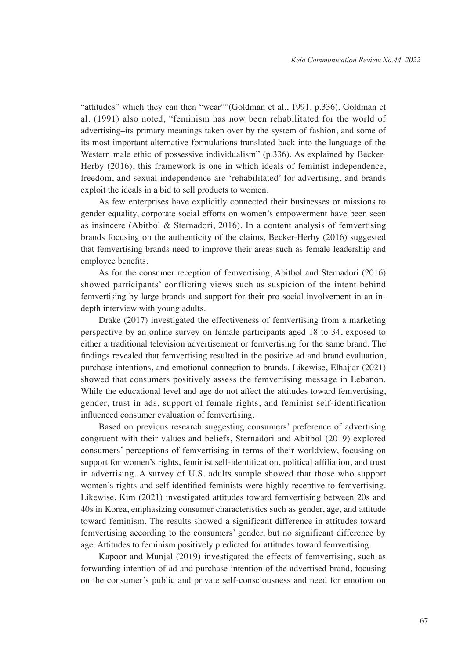"attitudes" which they can then "wear""(Goldman et al., 1991, p.336). Goldman et al. (1991) also noted, "feminism has now been rehabilitated for the world of advertising–its primary meanings taken over by the system of fashion, and some of its most important alternative formulations translated back into the language of the Western male ethic of possessive individualism" (p.336). As explained by Becker-Herby (2016), this framework is one in which ideals of feminist independence, freedom, and sexual independence are 'rehabilitated' for advertising, and brands exploit the ideals in a bid to sell products to women.

As few enterprises have explicitly connected their businesses or missions to gender equality, corporate social efforts on women's empowerment have been seen as insincere (Abitbol & Sternadori, 2016). In a content analysis of femvertising brands focusing on the authenticity of the claims, Becker-Herby (2016) suggested that femvertising brands need to improve their areas such as female leadership and employee benefits.

As for the consumer reception of femvertising, Abitbol and Sternadori (2016) showed participants' conflicting views such as suspicion of the intent behind femvertising by large brands and support for their pro-social involvement in an indepth interview with young adults.

Drake (2017) investigated the effectiveness of femvertising from a marketing perspective by an online survey on female participants aged 18 to 34, exposed to either a traditional television advertisement or femvertising for the same brand. The findings revealed that femvertising resulted in the positive ad and brand evaluation, purchase intentions, and emotional connection to brands. Likewise, Elhajjar (2021) showed that consumers positively assess the femvertising message in Lebanon. While the educational level and age do not affect the attitudes toward femvertising, gender, trust in ads, support of female rights, and feminist self-identification influenced consumer evaluation of femvertising.

Based on previous research suggesting consumers' preference of advertising congruent with their values and beliefs, Sternadori and Abitbol (2019) explored consumers' perceptions of femvertising in terms of their worldview, focusing on support for women's rights, feminist self-identification, political affiliation, and trust in advertising. A survey of U.S. adults sample showed that those who support women's rights and self-identified feminists were highly receptive to femvertising. Likewise, Kim (2021) investigated attitudes toward femvertising between 20s and 40s in Korea, emphasizing consumer characteristics such as gender, age, and attitude toward feminism. The results showed a significant difference in attitudes toward femvertising according to the consumers' gender, but no significant difference by age. Attitudes to feminism positively predicted for attitudes toward femvertising.

Kapoor and Munjal (2019) investigated the effects of femvertising, such as forwarding intention of ad and purchase intention of the advertised brand, focusing on the consumer's public and private self-consciousness and need for emotion on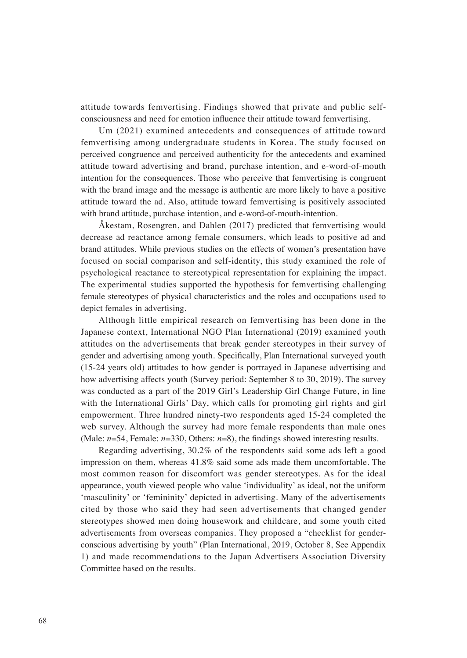attitude towards femvertising. Findings showed that private and public selfconsciousness and need for emotion influence their attitude toward femvertising.

Um (2021) examined antecedents and consequences of attitude toward femvertising among undergraduate students in Korea. The study focused on perceived congruence and perceived authenticity for the antecedents and examined attitude toward advertising and brand, purchase intention, and e-word-of-mouth intention for the consequences. Those who perceive that femvertising is congruent with the brand image and the message is authentic are more likely to have a positive attitude toward the ad. Also, attitude toward femvertising is positively associated with brand attitude, purchase intention, and e-word-of-mouth-intention.

Åkestam, Rosengren, and Dahlen (2017) predicted that femvertising would decrease ad reactance among female consumers, which leads to positive ad and brand attitudes. While previous studies on the effects of women's presentation have focused on social comparison and self-identity, this study examined the role of psychological reactance to stereotypical representation for explaining the impact. The experimental studies supported the hypothesis for femvertising challenging female stereotypes of physical characteristics and the roles and occupations used to depict females in advertising.

Although little empirical research on femvertising has been done in the Japanese context, International NGO Plan International (2019) examined youth attitudes on the advertisements that break gender stereotypes in their survey of gender and advertising among youth. Specifically, Plan International surveyed youth (15-24 years old) attitudes to how gender is portrayed in Japanese advertising and how advertising affects youth (Survey period: September 8 to 30, 2019). The survey was conducted as a part of the 2019 Girl's Leadership Girl Change Future, in line with the International Girls' Day, which calls for promoting girl rights and girl empowerment. Three hundred ninety-two respondents aged 15-24 completed the web survey. Although the survey had more female respondents than male ones (Male: *n*=54, Female: *n*=330, Others: *n*=8), the findings showed interesting results.

Regarding advertising, 30.2% of the respondents said some ads left a good impression on them, whereas 41.8% said some ads made them uncomfortable. The most common reason for discomfort was gender stereotypes. As for the ideal appearance, youth viewed people who value 'individuality' as ideal, not the uniform 'masculinity' or 'femininity' depicted in advertising. Many of the advertisements cited by those who said they had seen advertisements that changed gender stereotypes showed men doing housework and childcare, and some youth cited advertisements from overseas companies. They proposed a "checklist for genderconscious advertising by youth" (Plan International, 2019, October 8, See Appendix 1) and made recommendations to the Japan Advertisers Association Diversity Committee based on the results.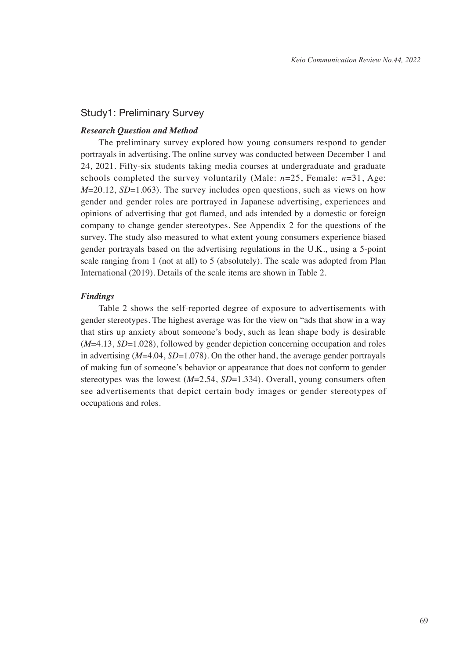## Study1: Preliminary Survey

### *Research Question and Method*

The preliminary survey explored how young consumers respond to gender portrayals in advertising. The online survey was conducted between December 1 and 24, 2021. Fifty-six students taking media courses at undergraduate and graduate schools completed the survey voluntarily (Male:  $n=25$ , Female:  $n=31$ , Age:  $M=20.12$ ,  $SD=1.063$ ). The survey includes open questions, such as views on how gender and gender roles are portrayed in Japanese advertising, experiences and opinions of advertising that got flamed, and ads intended by a domestic or foreign company to change gender stereotypes. See Appendix 2 for the questions of the survey. The study also measured to what extent young consumers experience biased gender portrayals based on the advertising regulations in the U.K., using a 5-point scale ranging from 1 (not at all) to 5 (absolutely). The scale was adopted from Plan International (2019). Details of the scale items are shown in Table 2.

### *Findings*

Table 2 shows the self-reported degree of exposure to advertisements with gender stereotypes. The highest average was for the view on "ads that show in a way that stirs up anxiety about someone's body, such as lean shape body is desirable (*M*=4.13, *SD*=1.028), followed by gender depiction concerning occupation and roles in advertising (*M*=4.04, *SD*=1.078). On the other hand, the average gender portrayals of making fun of someone's behavior or appearance that does not conform to gender stereotypes was the lowest (*M*=2.54, *SD*=1.334). Overall, young consumers often see advertisements that depict certain body images or gender stereotypes of occupations and roles.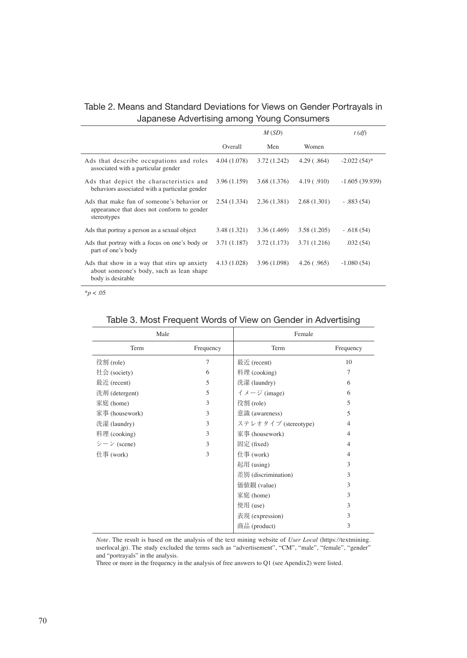| Table 2. Means and Standard Deviations for Views on Gender Portrayals in |  |
|--------------------------------------------------------------------------|--|
| Japanese Advertising among Young Consumers                               |  |

|                                                                                                               |              | M(SD)        |              | $t(d\hat{f})$    |
|---------------------------------------------------------------------------------------------------------------|--------------|--------------|--------------|------------------|
|                                                                                                               | Overall      | Men          | Women        |                  |
| Ads that describe occupations and roles<br>associated with a particular gender                                | 4.04 (1.078) | 3.72(1.242)  | 4.29(.864)   | $-2.022(54)$ *   |
| Ads that depict the characteristics and<br>behaviors associated with a particular gender                      | 3.96(1.159)  | 3.68(1.376)  | 4.19( .910)  | $-1.605(39.939)$ |
| Ads that make fun of someone's behavior or<br>appearance that does not conform to gender<br>stereotypes       | 2.54(1.334)  | 2.36(1.381)  | 2.68(1.301)  | $-.883(54)$      |
| Ads that portray a person as a sexual object                                                                  | 3.48 (1.321) | 3.36(1.469)  | 3.58(1.205)  | $-.618(54)$      |
| Ads that portray with a focus on one's body or<br>part of one's body                                          | 3.71(1.187)  | 3.72(1.173)  | 3.71 (1.216) | .032(54)         |
| Ads that show in a way that stirs up anxiety<br>about someone's body, such as lean shape<br>body is desirable | 4.13(1.028)  | 3.96 (1.098) | 4.26(0.965)  | $-1.080(54)$     |

\**p* < .05

|  |  | Table 3. Most Frequent Words of View on Gender in Advertising |
|--|--|---------------------------------------------------------------|
|  |  |                                                               |

| Male                          |           | Female                                        |                |  |
|-------------------------------|-----------|-----------------------------------------------|----------------|--|
| Term                          | Frequency | Term                                          | Frequency      |  |
| 役割 (role)                     | 7         | 最近 (recent)                                   | 10             |  |
| 社会 (society)                  | 6         | 料理 (cooking)                                  | 7              |  |
| 最近 (recent)                   | 5         | 洗濯 (laundry)                                  | 6              |  |
| 洗剤 (detergent)                | 5         | $\angle$ / $\angle$ $\angle$ $\angle$ (image) | 6              |  |
| 家庭 (home)                     | 3         | 役割 (role)                                     | 5              |  |
| 家事 (housework)                | 3         | 意識 (awareness)                                | 5              |  |
| 洗濯 (laundry)                  | 3         | ステレオタイプ (stereotype)                          | $\overline{4}$ |  |
| 料理 (cooking)                  | 3         | 家事 (housework)                                | $\overline{4}$ |  |
| $\dot{v}$ – $\dot{v}$ (scene) | 3         | 固定 (fixed)                                    | $\overline{4}$ |  |
| 仕事 (work)                     | 3         | 仕事 (work)                                     | $\overline{4}$ |  |
|                               |           | 起用 (using)                                    | 3              |  |
|                               |           | 差別 (discrimination)                           | 3              |  |
|                               |           | 価値観 (value)                                   | 3              |  |
|                               |           | 家庭 (home)                                     | 3              |  |
|                               |           | 使用 (use)                                      | 3              |  |
|                               |           | 表現 (expression)                               | 3              |  |
|                               |           | 商品 (product)                                  | 3              |  |

*Note*. The result is based on the analysis of the text mining website of *User Local* (https://textmining. userlocal.jp). The study excluded the terms such as "advertisement", "CM", "male", "female", "gender" and "portrayals" in the analysis.

Three or more in the frequency in the analysis of free answers to Q1 (see Apendix2) were listed.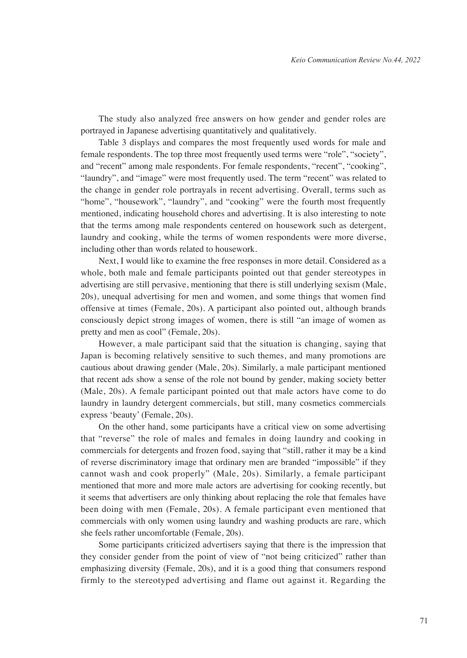The study also analyzed free answers on how gender and gender roles are portrayed in Japanese advertising quantitatively and qualitatively.

Table 3 displays and compares the most frequently used words for male and female respondents. The top three most frequently used terms were "role", "society", and "recent" among male respondents. For female respondents, "recent", "cooking", "laundry", and "image" were most frequently used. The term "recent" was related to the change in gender role portrayals in recent advertising. Overall, terms such as "home", "housework", "laundry", and "cooking" were the fourth most frequently mentioned, indicating household chores and advertising. It is also interesting to note that the terms among male respondents centered on housework such as detergent, laundry and cooking, while the terms of women respondents were more diverse, including other than words related to housework.

Next, I would like to examine the free responses in more detail. Considered as a whole, both male and female participants pointed out that gender stereotypes in advertising are still pervasive, mentioning that there is still underlying sexism (Male, 20s), unequal advertising for men and women, and some things that women find offensive at times (Female, 20s). A participant also pointed out, although brands consciously depict strong images of women, there is still "an image of women as pretty and men as cool" (Female, 20s).

However, a male participant said that the situation is changing, saying that Japan is becoming relatively sensitive to such themes, and many promotions are cautious about drawing gender (Male, 20s). Similarly, a male participant mentioned that recent ads show a sense of the role not bound by gender, making society better (Male, 20s). A female participant pointed out that male actors have come to do laundry in laundry detergent commercials, but still, many cosmetics commercials express 'beauty' (Female, 20s).

On the other hand, some participants have a critical view on some advertising that "reverse" the role of males and females in doing laundry and cooking in commercials for detergents and frozen food, saying that "still, rather it may be a kind of reverse discriminatory image that ordinary men are branded "impossible" if they cannot wash and cook properly" (Male, 20s). Similarly, a female participant mentioned that more and more male actors are advertising for cooking recently, but it seems that advertisers are only thinking about replacing the role that females have been doing with men (Female, 20s). A female participant even mentioned that commercials with only women using laundry and washing products are rare, which she feels rather uncomfortable (Female, 20s).

Some participants criticized advertisers saying that there is the impression that they consider gender from the point of view of "not being criticized" rather than emphasizing diversity (Female, 20s), and it is a good thing that consumers respond firmly to the stereotyped advertising and flame out against it. Regarding the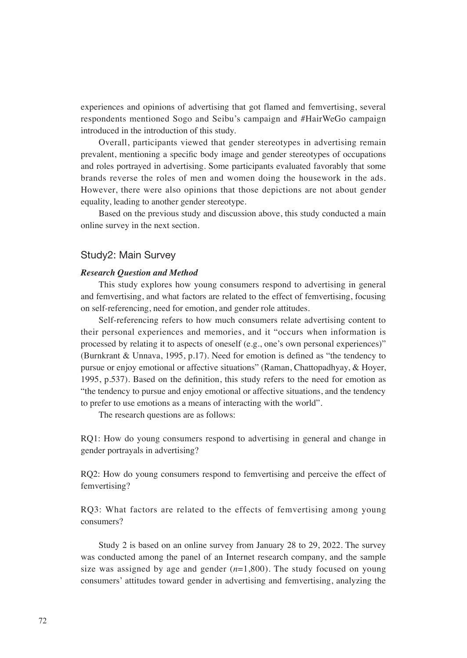experiences and opinions of advertising that got flamed and femvertising, several respondents mentioned Sogo and Seibu's campaign and #HairWeGo campaign introduced in the introduction of this study.

Overall, participants viewed that gender stereotypes in advertising remain prevalent, mentioning a specific body image and gender stereotypes of occupations and roles portrayed in advertising. Some participants evaluated favorably that some brands reverse the roles of men and women doing the housework in the ads. However, there were also opinions that those depictions are not about gender equality, leading to another gender stereotype.

Based on the previous study and discussion above, this study conducted a main online survey in the next section.

# Study2: Main Survey

#### *Research Question and Method*

This study explores how young consumers respond to advertising in general and femvertising, and what factors are related to the effect of femvertising, focusing on self-referencing, need for emotion, and gender role attitudes.

Self-referencing refers to how much consumers relate advertising content to their personal experiences and memories, and it "occurs when information is processed by relating it to aspects of oneself (e.g., one's own personal experiences)" (Burnkrant & Unnava, 1995, p.17). Need for emotion is defined as "the tendency to pursue or enjoy emotional or affective situations" (Raman, Chattopadhyay, & Hoyer, 1995, p.537). Based on the definition, this study refers to the need for emotion as "the tendency to pursue and enjoy emotional or affective situations, and the tendency to prefer to use emotions as a means of interacting with the world".

The research questions are as follows:

RQ1: How do young consumers respond to advertising in general and change in gender portrayals in advertising?

RQ2: How do young consumers respond to femvertising and perceive the effect of femvertising?

RQ3: What factors are related to the effects of femvertising among young consumers?

Study 2 is based on an online survey from January 28 to 29, 2022. The survey was conducted among the panel of an Internet research company, and the sample size was assigned by age and gender (*n*=1,800). The study focused on young consumers' attitudes toward gender in advertising and femvertising, analyzing the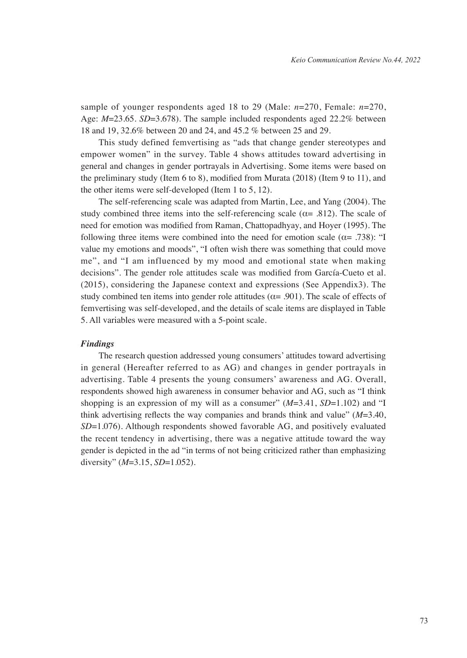sample of younger respondents aged 18 to 29 (Male: *n*=270, Female: *n*=270, Age: *M*=23.65. *SD*=3.678). The sample included respondents aged 22.2% between 18 and 19, 32.6% between 20 and 24, and 45.2 % between 25 and 29.

This study defined femvertising as "ads that change gender stereotypes and empower women" in the survey. Table 4 shows attitudes toward advertising in general and changes in gender portrayals in Advertising. Some items were based on the preliminary study (Item 6 to 8), modified from Murata (2018) (Item 9 to 11), and the other items were self-developed (Item 1 to 5, 12).

The self-referencing scale was adapted from Martin, Lee, and Yang (2004). The study combined three items into the self-referencing scale ( $\alpha$ = .812). The scale of need for emotion was modified from Raman, Chattopadhyay, and Hoyer (1995). The following three items were combined into the need for emotion scale ( $\alpha$ = .738): "I value my emotions and moods", "I often wish there was something that could move me", and "I am influenced by my mood and emotional state when making decisions". The gender role attitudes scale was modified from García-Cueto et al. (2015), considering the Japanese context and expressions (See Appendix3). The study combined ten items into gender role attitudes ( $\alpha$  = .901). The scale of effects of femvertising was self-developed, and the details of scale items are displayed in Table 5. All variables were measured with a 5-point scale.

### *Findings*

The research question addressed young consumers' attitudes toward advertising in general (Hereafter referred to as AG) and changes in gender portrayals in advertising. Table 4 presents the young consumers' awareness and AG. Overall, respondents showed high awareness in consumer behavior and AG, such as "I think shopping is an expression of my will as a consumer"  $(M=3.41, SD=1.102)$  and "I think advertising reflects the way companies and brands think and value" (*M*=3.40, *SD*=1.076). Although respondents showed favorable AG, and positively evaluated the recent tendency in advertising, there was a negative attitude toward the way gender is depicted in the ad "in terms of not being criticized rather than emphasizing diversity" (*M*=3.15, *SD*=1.052).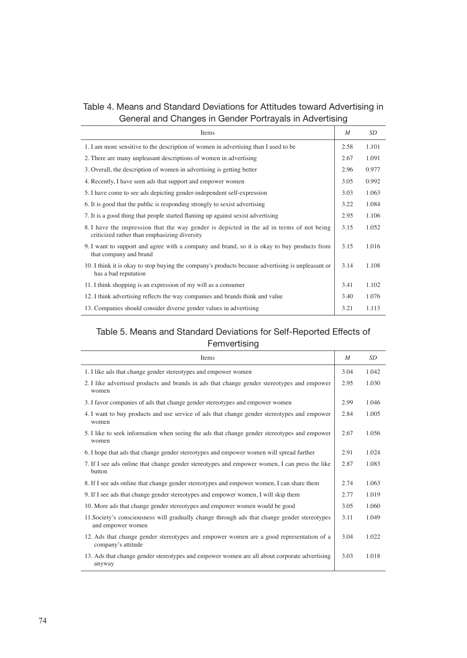# Table 4. Means and Standard Deviations for Attitudes toward Advertising in General and Changes in Gender Portrayals in Advertising

| Items                                                                                                                                    | $\boldsymbol{M}$ | SD <sub>-</sub> |
|------------------------------------------------------------------------------------------------------------------------------------------|------------------|-----------------|
| 1. I am more sensitive to the description of women in advertising than I used to be                                                      | 2.58             | 1.101           |
| 2. There are many unpleasant descriptions of women in advertising                                                                        | 2.67             | 1.091           |
| 3. Overall, the description of women in advertising is getting better                                                                    | 2.96             | 0.977           |
| 4. Recently, I have seen ads that support and empower women                                                                              | 3.05             | 0.992           |
| 5. I have come to see ads depicting gender-independent self-expression                                                                   | 3.03             | 1.063           |
| 6. It is good that the public is responding strongly to sexist advertising                                                               | 3.22             | 1.084           |
| 7. It is a good thing that people started flaming up against sexist advertising                                                          | 2.95             | 1.106           |
| 8. I have the impression that the way gender is depicted in the ad in terms of not being<br>criticized rather than emphasizing diversity | 3.15             | 1.052           |
| 9. I want to support and agree with a company and brand, so it is okay to buy products from<br>that company and brand                    | 3.15             | 1.016           |
| 10. I think it is okay to stop buying the company's products because advertising is unpleasant or<br>has a bad reputation                | 3.14             | 1.108           |
| 11. I think shopping is an expression of my will as a consumer                                                                           | 3.41             | 1.102           |
| 12. I think advertising reflects the way companies and brands think and value                                                            | 3.40             | 1.076           |
| 13. Companies should consider diverse gender values in advertising                                                                       | 3.21             | 1.113           |

# Table 5. Means and Standard Deviations for Self-Reported Effects of Femvertising

| Items                                                                                                             | $\boldsymbol{M}$ | SD    |
|-------------------------------------------------------------------------------------------------------------------|------------------|-------|
| 1. I like ads that change gender stereotypes and empower women                                                    | 3.04             | 1.042 |
| 2. I like advertised products and brands in ads that change gender stereotypes and empower<br>women               | 2.95             | 1.030 |
| 3. I favor companies of ads that change gender stereotypes and empower women                                      | 2.99             | 1.046 |
| 4. I want to buy products and use service of ads that change gender stereotypes and empower<br>women              | 2.84             | 1.005 |
| 5. I like to seek information when seeing the ads that change gender stereotypes and empower<br>women             | 2.67             | 1.056 |
| 6. I hope that ads that change gender stereotypes and empower women will spread further                           | 2.91             | 1.024 |
| 7. If I see ads online that change gender stereotypes and empower women, I can press the like<br>button           | 2.87             | 1.083 |
| 8. If I see ads online that change gender stereotypes and empower women, I can share them                         | 2.74             | 1.063 |
| 9. If I see ads that change gender stereotypes and empower women, I will skip them                                | 2.77             | 1.019 |
| 10. More ads that change gender stereotypes and empower women would be good                                       | 3.05             | 1.060 |
| 11. Society's consciousness will gradually change through ads that change gender stereotypes<br>and empower women | 3.11             | 1.049 |
| 12. Ads that change gender stereotypes and empower women are a good representation of a<br>company's attitude     | 3.04             | 1.022 |
| 13. Ads that change gender stereotypes and empower women are all about corporate advertising<br>anyway            | 3.03             | 1.018 |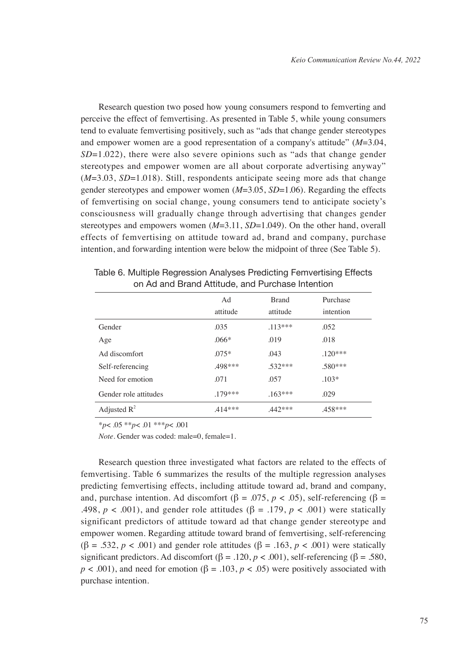Research question two posed how young consumers respond to femverting and perceive the effect of femvertising. As presented in Table 5, while young consumers tend to evaluate femvertising positively, such as "ads that change gender stereotypes and empower women are a good representation of a company's attitude" (*M*=3.04, *SD*=1.022), there were also severe opinions such as "ads that change gender stereotypes and empower women are all about corporate advertising anyway" (*M*=3.03, *SD*=1.018). Still, respondents anticipate seeing more ads that change gender stereotypes and empower women (*M*=3.05, *SD*=1.06). Regarding the effects of femvertising on social change, young consumers tend to anticipate society's consciousness will gradually change through advertising that changes gender stereotypes and empowers women (*M*=3.11, *SD*=1.049). On the other hand, overall effects of femvertising on attitude toward ad, brand and company, purchase intention, and forwarding intention were below the midpoint of three (See Table 5).

|                       | Ad<br>attitude | <b>Brand</b><br>attitude | Purchase<br>intention |
|-----------------------|----------------|--------------------------|-----------------------|
| Gender                | .035           | $.113***$                | .052                  |
| Age                   | $.066*$        | .019                     | .018                  |
| Ad discomfort         | $.075*$        | .043                     | $.120***$             |
| Self-referencing      | .498***        | $.532***$                | $.580***$             |
| Need for emotion      | .071           | .057                     | $.103*$               |
| Gender role attitudes | $.179***$      | $.163***$                | .029                  |
| Adjusted $R^2$        | $.414***$      | $442***$                 | .458***               |

Table 6. Multiple Regression Analyses Predicting Femvertising Effects on Ad and Brand Attitude, and Purchase Intention

\**p*< .05 \*\**p*< .01 \*\*\**p*< .001

*Note*. Gender was coded: male=0, female=1.

Research question three investigated what factors are related to the effects of femvertising. Table 6 summarizes the results of the multiple regression analyses predicting femvertising effects, including attitude toward ad, brand and company, and, purchase intention. Ad discomfort ( $\beta = .075$ ,  $p < .05$ ), self-referencing ( $\beta =$ .498,  $p < .001$ ), and gender role attitudes ( $\beta = .179$ ,  $p < .001$ ) were statically significant predictors of attitude toward ad that change gender stereotype and empower women. Regarding attitude toward brand of femvertising, self-referencing  $(\beta = .532, p < .001)$  and gender role attitudes  $(\beta = .163, p < .001)$  were statically significant predictors. Ad discomfort ( $\beta$  = .120, *p* < .001), self-referencing ( $\beta$  = .580,  $p < .001$ ), and need for emotion ( $\beta = .103$ ,  $p < .05$ ) were positively associated with purchase intention.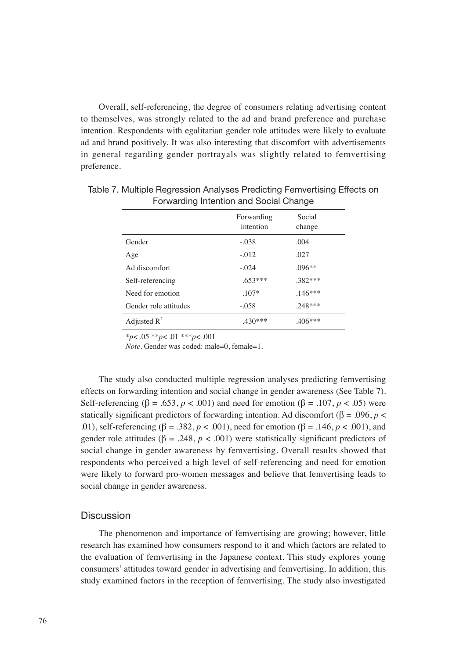Overall, self-referencing, the degree of consumers relating advertising content to themselves, was strongly related to the ad and brand preference and purchase intention. Respondents with egalitarian gender role attitudes were likely to evaluate ad and brand positively. It was also interesting that discomfort with advertisements in general regarding gender portrayals was slightly related to femvertising preference.

|                       | Forwarding<br>intention | Social<br>change |
|-----------------------|-------------------------|------------------|
| Gender                | $-.038$                 | .004             |
| Age                   | $-.012$                 | .027             |
| Ad discomfort         | $-.024$                 | $.096**$         |
| Self-referencing      | $.653***$               | .382***          |
| Need for emotion      | $.107*$                 | $.146***$        |
| Gender role attitudes | $-.058$                 | $.248***$        |
| Adjusted $R^2$        | $.430***$               | $.406***$        |

Table 7. Multiple Regression Analyses Predicting Femvertising Effects on Forwarding Intention and Social Change

\**p*< .05 \*\**p*< .01 \*\*\**p*< .001

*Note*. Gender was coded: male=0, female=1.

The study also conducted multiple regression analyses predicting femvertising effects on forwarding intention and social change in gender awareness (See Table 7). Self-referencing ( $\beta = .653$ ,  $p < .001$ ) and need for emotion ( $\beta = .107$ ,  $p < .05$ ) were statically significant predictors of forwarding intention. Ad discomfort ( $\beta$  = .096, *p* < .01), self-referencing (β = .382, *p* < .001), need for emotion (β = .146, *p* < .001), and gender role attitudes ( $\beta$  = .248,  $p < .001$ ) were statistically significant predictors of social change in gender awareness by femvertising. Overall results showed that respondents who perceived a high level of self-referencing and need for emotion were likely to forward pro-women messages and believe that femvertising leads to social change in gender awareness.

# **Discussion**

The phenomenon and importance of femvertising are growing; however, little research has examined how consumers respond to it and which factors are related to the evaluation of femvertising in the Japanese context. This study explores young consumers' attitudes toward gender in advertising and femvertising. In addition, this study examined factors in the reception of femvertising. The study also investigated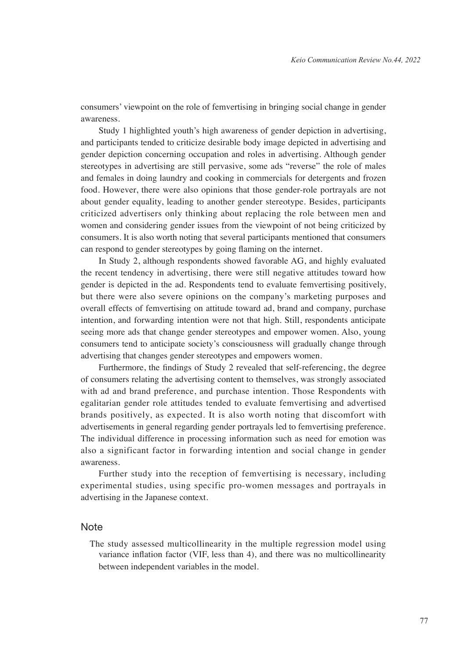consumers' viewpoint on the role of femvertising in bringing social change in gender awareness.

Study 1 highlighted youth's high awareness of gender depiction in advertising, and participants tended to criticize desirable body image depicted in advertising and gender depiction concerning occupation and roles in advertising. Although gender stereotypes in advertising are still pervasive, some ads "reverse" the role of males and females in doing laundry and cooking in commercials for detergents and frozen food. However, there were also opinions that those gender-role portrayals are not about gender equality, leading to another gender stereotype. Besides, participants criticized advertisers only thinking about replacing the role between men and women and considering gender issues from the viewpoint of not being criticized by consumers. It is also worth noting that several participants mentioned that consumers can respond to gender stereotypes by going flaming on the internet.

In Study 2, although respondents showed favorable AG, and highly evaluated the recent tendency in advertising, there were still negative attitudes toward how gender is depicted in the ad. Respondents tend to evaluate femvertising positively, but there were also severe opinions on the company's marketing purposes and overall effects of femvertising on attitude toward ad, brand and company, purchase intention, and forwarding intention were not that high. Still, respondents anticipate seeing more ads that change gender stereotypes and empower women. Also, young consumers tend to anticipate society's consciousness will gradually change through advertising that changes gender stereotypes and empowers women.

Furthermore, the findings of Study 2 revealed that self-referencing, the degree of consumers relating the advertising content to themselves, was strongly associated with ad and brand preference, and purchase intention. Those Respondents with egalitarian gender role attitudes tended to evaluate femvertising and advertised brands positively, as expected. It is also worth noting that discomfort with advertisements in general regarding gender portrayals led to femvertising preference. The individual difference in processing information such as need for emotion was also a significant factor in forwarding intention and social change in gender awareness.

Further study into the reception of femvertising is necessary, including experimental studies, using specific pro-women messages and portrayals in advertising in the Japanese context.

# **Note**

The study assessed multicollinearity in the multiple regression model using variance inflation factor (VIF, less than 4), and there was no multicollinearity between independent variables in the model.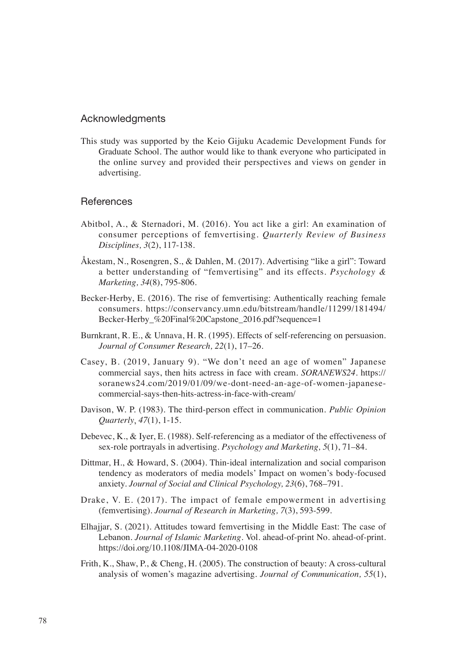# Acknowledgments

This study was supported by the Keio Gijuku Academic Development Funds for Graduate School. The author would like to thank everyone who participated in the online survey and provided their perspectives and views on gender in advertising.

# **References**

- Abitbol, A., & Sternadori, M. (2016). You act like a girl: An examination of consumer perceptions of femvertising. *Quarterly Review of Business Disciplines, 3*(2), 117-138.
- Åkestam, N., Rosengren, S., & Dahlen, M. (2017). Advertising "like a girl": Toward a better understanding of "femvertising" and its effects. *Psychology & Marketing, 34*(8), 795-806.
- Becker-Herby, E. (2016). The rise of femvertising: Authentically reaching female consumers. https://conservancy.umn.edu/bitstream/handle/11299/181494/ Becker-Herby %20Final%20Capstone 2016.pdf?sequence=1
- Burnkrant, R. E., & Unnava, H. R. (1995). Effects of self-referencing on persuasion. *Journal of Consumer Research, 22*(1), 17–26.
- Casey, B. (2019, January 9). "We don't need an age of women" Japanese commercial says, then hits actress in face with cream. *SORANEWS24*. https:// soranews24.com/2019/01/09/we-dont-need-an-age-of-women-japanesecommercial-says-then-hits-actress-in-face-with-cream/
- Davison, W. P. (1983). The third-person effect in communication. *Public Opinion Quarterly*, *47*(1), 1-15.
- Debevec, K., & Iyer, E. (1988). Self-referencing as a mediator of the effectiveness of sex-role portrayals in advertising. *Psychology and Marketing, 5*(1), 71–84.
- Dittmar, H., & Howard, S. (2004). Thin-ideal internalization and social comparison tendency as moderators of media models' Impact on women's body-focused anxiety. *Journal of Social and Clinical Psychology, 23*(6), 768–791.
- Drake, V. E. (2017). The impact of female empowerment in advertising (femvertising). *Journal of Research in Marketing, 7*(3), 593-599.
- Elhajjar, S. (2021). Attitudes toward femvertising in the Middle East: The case of Lebanon. *Journal of Islamic Marketing*. Vol. ahead-of-print No. ahead-of-print. https://doi.org/10.1108/JIMA-04-2020-0108
- Frith, K., Shaw, P., & Cheng, H. (2005). The construction of beauty: A cross-cultural analysis of women's magazine advertising. *Journal of Communication, 55*(1),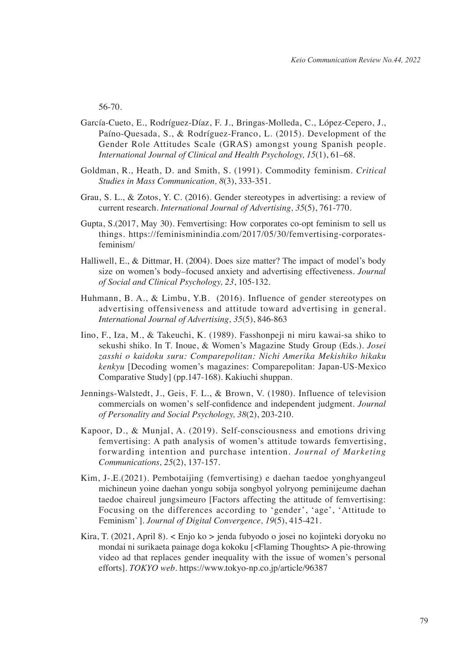56-70.

- García-Cueto, E., Rodríguez-Díaz, F. J., Bringas-Molleda, C., López-Cepero, J., Paíno-Quesada, S., & Rodríguez-Franco, L. (2015). Development of the Gender Role Attitudes Scale (GRAS) amongst young Spanish people. *International Journal of Clinical and Health Psychology, 15*(1), 61–68.
- Goldman, R., Heath, D. and Smith, S. (1991). Commodity feminism. *Critical Studies in Mass Communication, 8*(3), 333-351.
- Grau, S. L., & Zotos, Y. C. (2016). Gender stereotypes in advertising: a review of current research. *International Journal of Advertising, 35*(5), 761-770.
- Gupta, S.(2017, May 30). Femvertising: How corporates co-opt feminism to sell us things. https://feminisminindia.com/2017/05/30/femvertising-corporatesfeminism/
- Halliwell, E., & Dittmar, H. (2004). Does size matter? The impact of model's body size on women's body–focused anxiety and advertising effectiveness. *Journal of Social and Clinical Psychology, 23*, 105-132.
- Huhmann, B. A., & Limbu, Y.B. (2016). Influence of gender stereotypes on advertising offensiveness and attitude toward advertising in general. *International Journal of Advertising, 35*(5), 846-863
- Iino, F., Iza, M., & Takeuchi, K. (1989). Fasshonpeji ni miru kawai-sa shiko to sekushi shiko. In T. Inoue, & Women's Magazine Study Group (Eds.). *Josei zasshi o kaidoku suru: Comparepolitan: Nichi Amerika Mekishiko hikaku kenkyu* [Decoding women's magazines: Comparepolitan: Japan-US-Mexico Comparative Study] (pp.147-168). Kakiuchi shuppan.
- Jennings-Walstedt, J., Geis, F. L., & Brown, V. (1980). Influence of television commercials on women̓s self-confidence and independent judgment. *Journal of Personality and Social Psychology, 38*(2), 203-210.
- Kapoor, D., & Munjal, A. (2019). Self-consciousness and emotions driving femvertising: A path analysis of women's attitude towards femvertising, forwarding intention and purchase intention. *Journal of Marketing Communications, 25*(2), 137-157.
- Kim, J-.E.(2021). Pembotaijing (femvertising) e daehan taedoe yonghyangeul michineun yoine daehan yongu sobija songbyol yolryong peminijeume daehan taedoe chaireul jungsimeuro [Factors affecting the attitude of femvertising: Focusing on the differences according to 'gender', 'age', 'Attitude to Feminism' ]. *Journal of Digital Convergence, 19*(5), 415-421.
- Kira, T. (2021, April 8). < Enjo ko > jenda fubyodo o josei no kojinteki doryoku no mondai ni surikaeta painage doga kokoku [<Flaming Thoughts> A pie-throwing video ad that replaces gender inequality with the issue of women's personal efforts]. *TOKYO web*. https://www.tokyo-np.co.jp/article/96387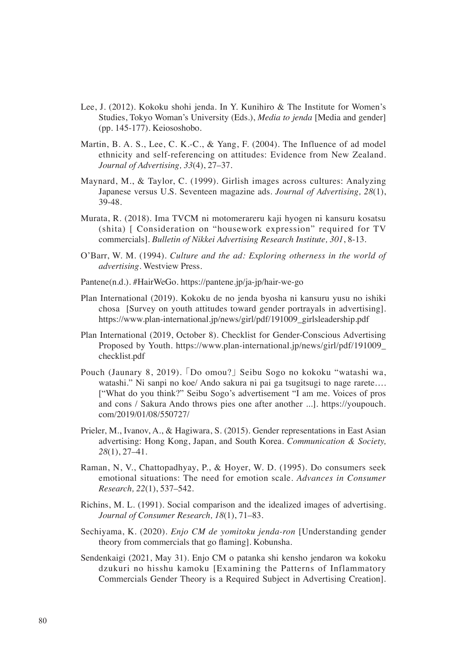- Lee, J. (2012). Kokoku shohi jenda. In Y. Kunihiro & The Institute for Women's Studies, Tokyo Woman's University (Eds.), *Media to jenda* [Media and gender] (pp. 145-177). Keiososhobo.
- Martin, B. A. S., Lee, C. K.-C., & Yang, F. (2004). The Influence of ad model ethnicity and self-referencing on attitudes: Evidence from New Zealand. *Journal of Advertising, 33*(4), 27–37.
- Maynard, M., & Taylor, C. (1999). Girlish images across cultures: Analyzing Japanese versus U.S. Seventeen magazine ads. *Journal of Advertising, 28*(1), 39-48.
- Murata, R. (2018). Ima TVCM ni motomerareru kaji hyogen ni kansuru kosatsu (shita) [ Consideration on "housework expression" required for TV commercials]. *Bulletin of Nikkei Advertising Research Institute, 301*, 8-13.
- O'Barr, W. M. (1994). *Culture and the ad: Exploring otherness in the world of advertising*. Westview Press.
- Pantene(n.d.). #HairWeGo. https://pantene.jp/ja-jp/hair-we-go
- Plan International (2019). Kokoku de no jenda byosha ni kansuru yusu no ishiki chosa [Survey on youth attitudes toward gender portrayals in advertising]. https://www.plan-international.jp/news/girl/pdf/191009\_girlsleadership.pdf
- Plan International (2019, October 8). Checklist for Gender-Conscious Advertising Proposed by Youth. https://www.plan-international.jp/news/girl/pdf/191009\_ checklist.pdf
- Pouch (Jaunary 8, 2019). 「Do omou?」 Seibu Sogo no kokoku "watashi wa, watashi." Ni sanpi no koe/ Ando sakura ni pai ga tsugitsugi to nage rarete…. ["What do you think?" Seibu Sogo's advertisement "I am me. Voices of pros and cons / Sakura Ando throws pies one after another ...]. https://youpouch. com/2019/01/08/550727/
- Prieler, M., Ivanov, A., & Hagiwara, S. (2015). Gender representations in East Asian advertising: Hong Kong, Japan, and South Korea. *Communication & Society, 28*(1), 27–41.
- Raman, N, V., Chattopadhyay, P., & Hoyer, W. D. (1995). Do consumers seek emotional situations: The need for emotion scale. *Advances in Consumer Research, 22*(1), 537–542.
- Richins, M. L. (1991). Social comparison and the idealized images of advertising. *Journal of Consumer Research, 18*(1), 71–83.
- Sechiyama, K. (2020). *Enjo CM de yomitoku jenda-ron* [Understanding gender theory from commercials that go flaming]. Kobunsha.
- Sendenkaigi (2021, May 31). Enjo CM o patanka shi kensho jendaron wa kokoku dzukuri no hisshu kamoku [Examining the Patterns of Inflammatory Commercials Gender Theory is a Required Subject in Advertising Creation].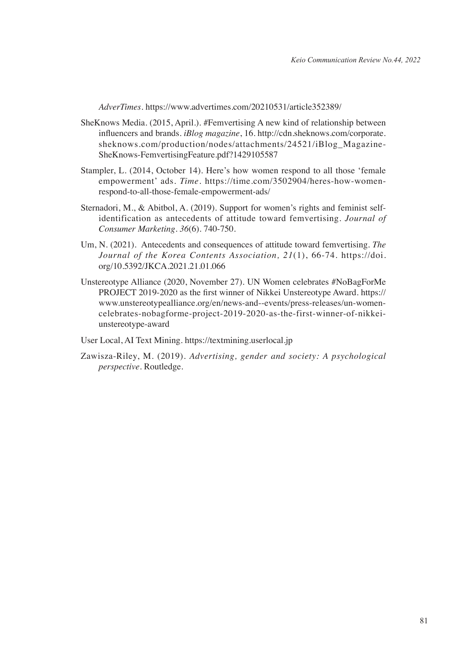*AdverTimes*. https://www.advertimes.com/20210531/article352389/

- SheKnows Media. (2015, April.). #Femvertising A new kind of relationship between influencers and brands. *iBlog magazine*, 16. http://cdn.sheknows.com/corporate. sheknows.com/production/nodes/attachments/24521/iBlog\_Magazine-SheKnows-FemvertisingFeature.pdf?1429105587
- Stampler, L. (2014, October 14). Here's how women respond to all those 'female empowerment' ads. *Time*. https://time.com/3502904/heres-how-womenrespond-to-all-those-female-empowerment-ads/
- Sternadori, M., & Abitbol, A. (2019). Support for women's rights and feminist selfidentification as antecedents of attitude toward femvertising. *Journal of Consumer Marketing. 36*(6). 740-750.
- Um, N. (2021). Antecedents and consequences of attitude toward femvertising. *The Journal of the Korea Contents Association, 21*(1), 66-74. https://doi. org/10.5392/JKCA.2021.21.01.066
- Unstereotype Alliance (2020, November 27). UN Women celebrates #NoBagForMe PROJECT 2019-2020 as the first winner of Nikkei Unstereotype Award. https:// www.unstereotypealliance.org/en/news-and--events/press-releases/un-womencelebrates-nobagforme-project-2019-2020-as-the-first-winner-of-nikkeiunstereotype-award

User Local, AI Text Mining. https://textmining.userlocal.jp

Zawisza-Riley, M. (2019). *Advertising, gender and society: A psychological perspective*. Routledge.